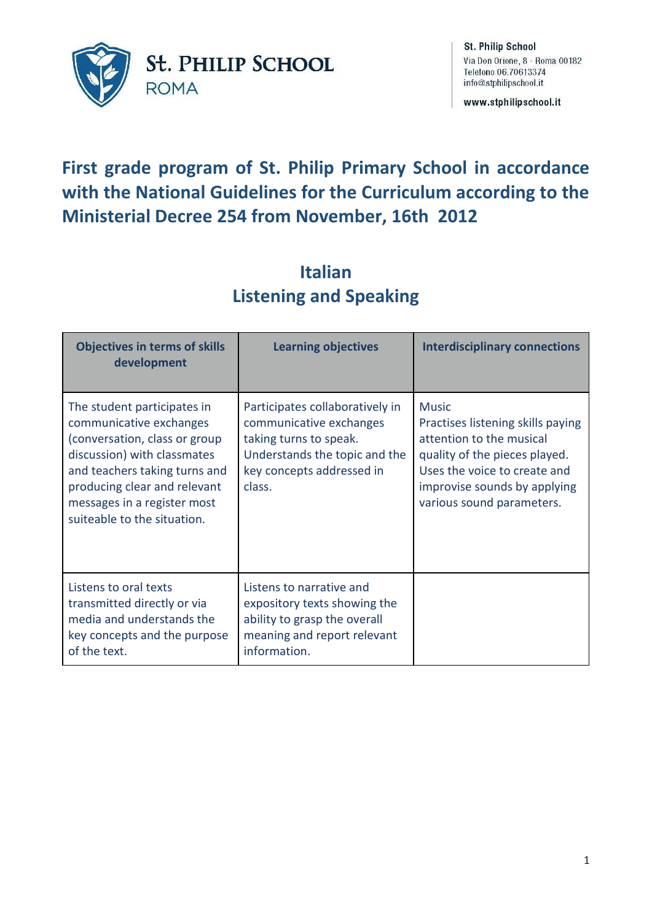

www.stphilipschool.it

# **First grade program of St. Philip Primary School in accordance with the National Guidelines for the Curriculum according to the Ministerial Decree 254 from November, 16th 2012**

## **Italian Listening and Speaking**

| <b>Objectives in terms of skills</b><br>development                                                                                                                                                                                                   | <b>Learning objectives</b>                                                                                                                                   | <b>Interdisciplinary connections</b>                                                                                                                                                                        |
|-------------------------------------------------------------------------------------------------------------------------------------------------------------------------------------------------------------------------------------------------------|--------------------------------------------------------------------------------------------------------------------------------------------------------------|-------------------------------------------------------------------------------------------------------------------------------------------------------------------------------------------------------------|
| The student participates in<br>communicative exchanges<br>(conversation, class or group<br>discussion) with classmates<br>and teachers taking turns and<br>producing clear and relevant<br>messages in a register most<br>suiteable to the situation. | Participates collaboratively in<br>communicative exchanges<br>taking turns to speak.<br>Understands the topic and the<br>key concepts addressed in<br>class. | <b>Music</b><br>Practises listening skills paying<br>attention to the musical<br>quality of the pieces played.<br>Uses the voice to create and<br>improvise sounds by applying<br>various sound parameters. |
| Listens to oral texts<br>transmitted directly or via<br>media and understands the<br>key concepts and the purpose<br>of the text.                                                                                                                     | Listens to narrative and<br>expository texts showing the<br>ability to grasp the overall<br>meaning and report relevant<br>information.                      |                                                                                                                                                                                                             |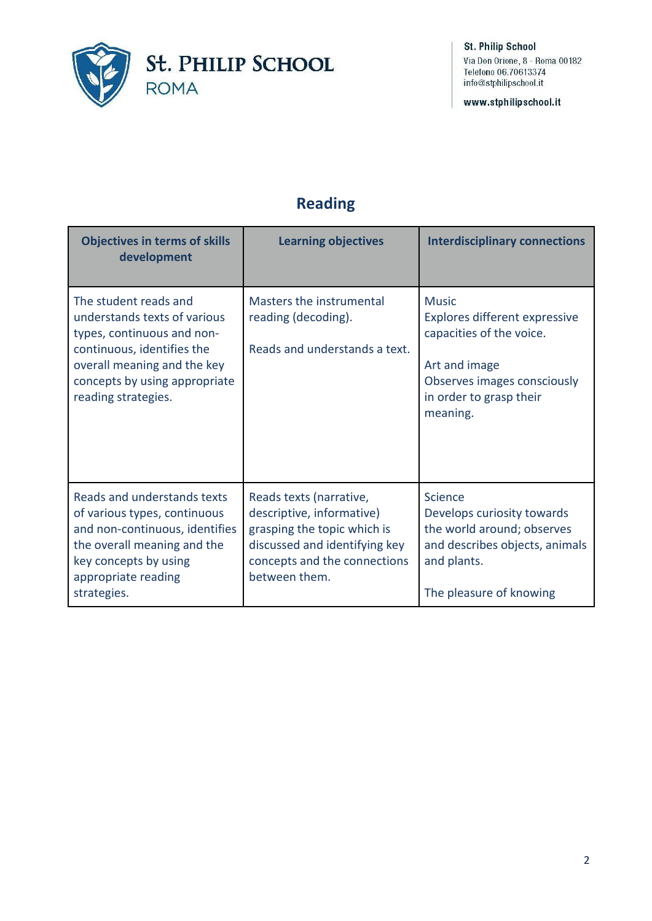

www.stphilipschool.it

## **Reading**

| <b>Objectives in terms of skills</b><br>development                                                                                                                                                      | <b>Learning objectives</b>                                                                                                                                            | <b>Interdisciplinary connections</b>                                                                                                                             |
|----------------------------------------------------------------------------------------------------------------------------------------------------------------------------------------------------------|-----------------------------------------------------------------------------------------------------------------------------------------------------------------------|------------------------------------------------------------------------------------------------------------------------------------------------------------------|
| The student reads and<br>understands texts of various<br>types, continuous and non-<br>continuous, identifies the<br>overall meaning and the key<br>concepts by using appropriate<br>reading strategies. | Masters the instrumental<br>reading (decoding).<br>Reads and understands a text.                                                                                      | <b>Music</b><br>Explores different expressive<br>capacities of the voice.<br>Art and image<br>Observes images consciously<br>in order to grasp their<br>meaning. |
| Reads and understands texts<br>of various types, continuous<br>and non-continuous, identifies<br>the overall meaning and the<br>key concepts by using<br>appropriate reading<br>strategies.              | Reads texts (narrative,<br>descriptive, informative)<br>grasping the topic which is<br>discussed and identifying key<br>concepts and the connections<br>between them. | Science<br>Develops curiosity towards<br>the world around; observes<br>and describes objects, animals<br>and plants.<br>The pleasure of knowing                  |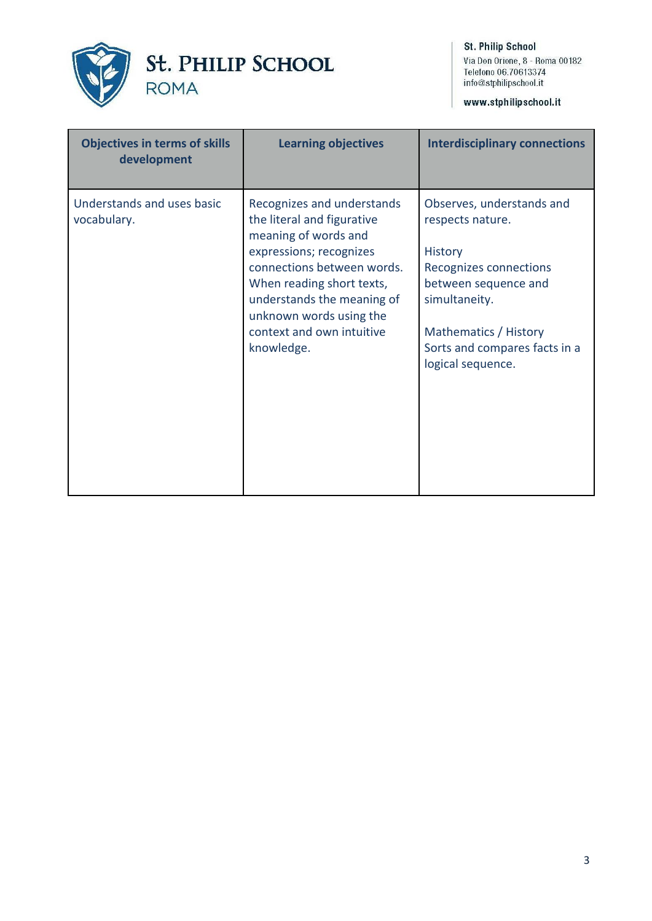

www.stphilipschool.it

| <b>Objectives in terms of skills</b><br>development | <b>Learning objectives</b>                                                                                                                                                                                                                                                 | <b>Interdisciplinary connections</b>                                                                                                                                                                              |
|-----------------------------------------------------|----------------------------------------------------------------------------------------------------------------------------------------------------------------------------------------------------------------------------------------------------------------------------|-------------------------------------------------------------------------------------------------------------------------------------------------------------------------------------------------------------------|
| Understands and uses basic<br>vocabulary.           | Recognizes and understands<br>the literal and figurative<br>meaning of words and<br>expressions; recognizes<br>connections between words.<br>When reading short texts,<br>understands the meaning of<br>unknown words using the<br>context and own intuitive<br>knowledge. | Observes, understands and<br>respects nature.<br><b>History</b><br>Recognizes connections<br>between sequence and<br>simultaneity.<br>Mathematics / History<br>Sorts and compares facts in a<br>logical sequence. |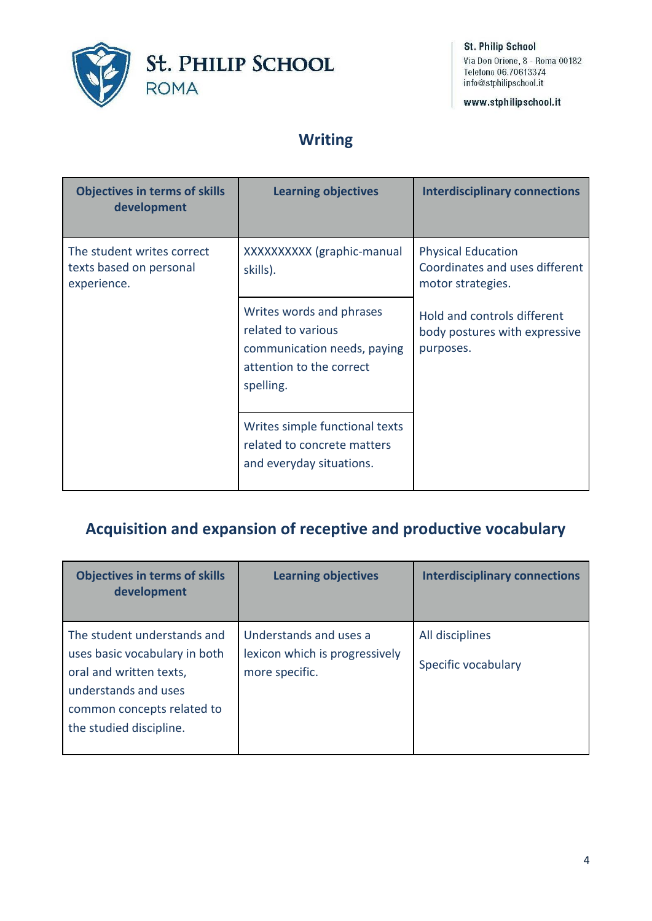

www.stphilipschool.it

### **Writing**

| <b>Objectives in terms of skills</b><br>development                  | <b>Learning objectives</b>                                                                                             | <b>Interdisciplinary connections</b>                                             |
|----------------------------------------------------------------------|------------------------------------------------------------------------------------------------------------------------|----------------------------------------------------------------------------------|
| The student writes correct<br>texts based on personal<br>experience. | XXXXXXXXX (graphic-manual<br>skills).                                                                                  | <b>Physical Education</b><br>Coordinates and uses different<br>motor strategies. |
|                                                                      | Writes words and phrases<br>related to various<br>communication needs, paying<br>attention to the correct<br>spelling. | Hold and controls different<br>body postures with expressive<br>purposes.        |
|                                                                      | Writes simple functional texts<br>related to concrete matters<br>and everyday situations.                              |                                                                                  |

### **Acquisition and expansion of receptive and productive vocabulary**

| <b>Objectives in terms of skills</b><br>development                                                                                                                      | <b>Learning objectives</b>                                                 | <b>Interdisciplinary connections</b>   |
|--------------------------------------------------------------------------------------------------------------------------------------------------------------------------|----------------------------------------------------------------------------|----------------------------------------|
| The student understands and<br>uses basic vocabulary in both<br>oral and written texts,<br>understands and uses<br>common concepts related to<br>the studied discipline. | Understands and uses a<br>lexicon which is progressively<br>more specific. | All disciplines<br>Specific vocabulary |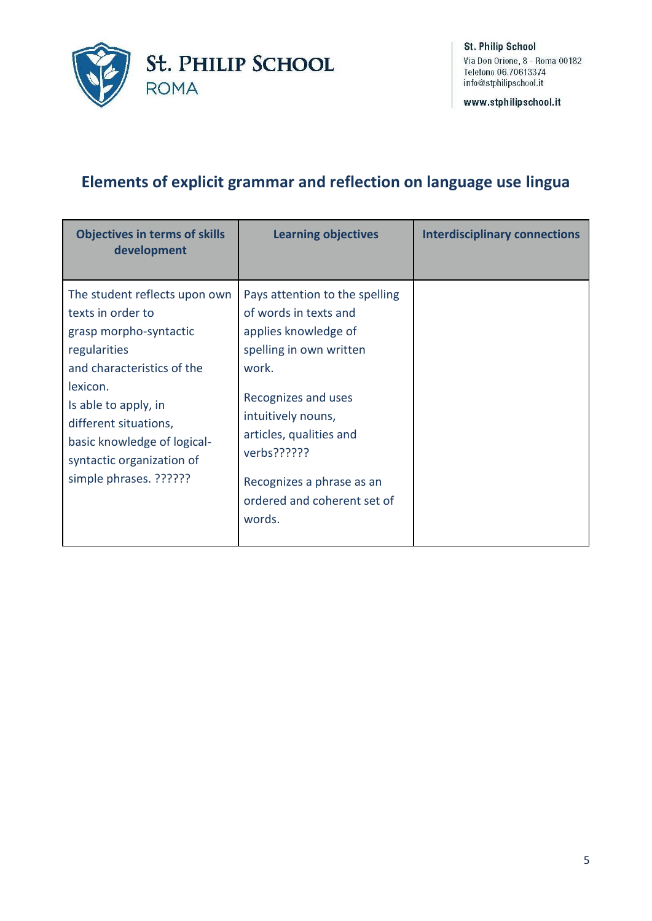

www.stphilipschool.it

### **Elements of explicit grammar and reflection on language use lingua**

| <b>Objectives in terms of skills</b><br>development                                                                                                                                                                                                                           | <b>Learning objectives</b>                                                                                                                                                                                                                                                       | <b>Interdisciplinary connections</b> |
|-------------------------------------------------------------------------------------------------------------------------------------------------------------------------------------------------------------------------------------------------------------------------------|----------------------------------------------------------------------------------------------------------------------------------------------------------------------------------------------------------------------------------------------------------------------------------|--------------------------------------|
| The student reflects upon own<br>texts in order to<br>grasp morpho-syntactic<br>regularities<br>and characteristics of the<br>lexicon.<br>Is able to apply, in<br>different situations,<br>basic knowledge of logical-<br>syntactic organization of<br>simple phrases. ?????? | Pays attention to the spelling<br>of words in texts and<br>applies knowledge of<br>spelling in own written<br>work.<br>Recognizes and uses<br>intuitively nouns,<br>articles, qualities and<br>verbs??????<br>Recognizes a phrase as an<br>ordered and coherent set of<br>words. |                                      |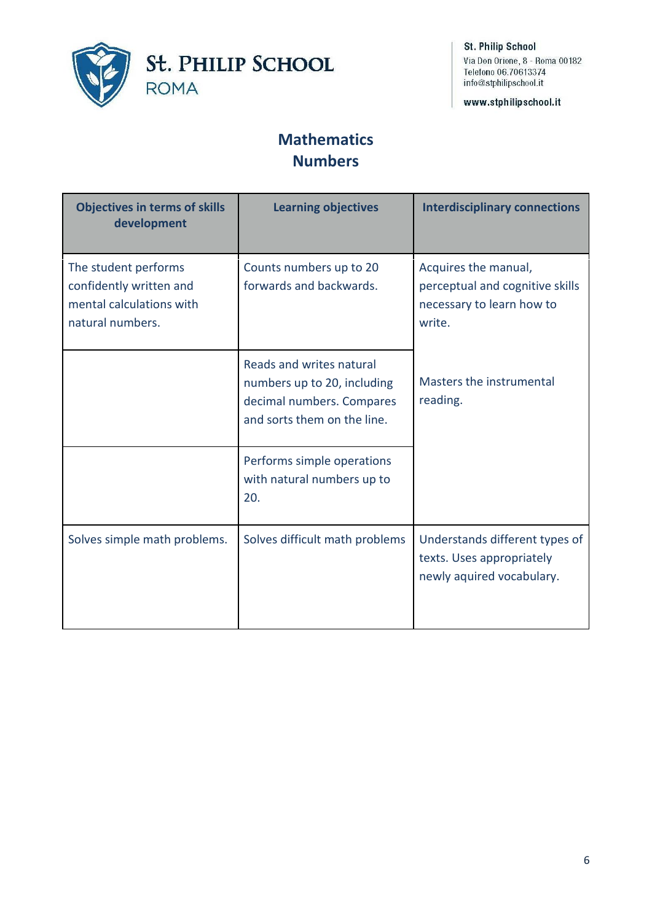

www.stphilipschool.it

#### **Mathematics Numbers**

| <b>Objectives in terms of skills</b><br>development                                             | <b>Learning objectives</b>                                                                                          | <b>Interdisciplinary connections</b>                                                           |
|-------------------------------------------------------------------------------------------------|---------------------------------------------------------------------------------------------------------------------|------------------------------------------------------------------------------------------------|
| The student performs<br>confidently written and<br>mental calculations with<br>natural numbers. | Counts numbers up to 20<br>forwards and backwards.                                                                  | Acquires the manual,<br>perceptual and cognitive skills<br>necessary to learn how to<br>write. |
|                                                                                                 | Reads and writes natural<br>numbers up to 20, including<br>decimal numbers. Compares<br>and sorts them on the line. | Masters the instrumental<br>reading.                                                           |
|                                                                                                 | Performs simple operations<br>with natural numbers up to<br>20.                                                     |                                                                                                |
| Solves simple math problems.                                                                    | Solves difficult math problems                                                                                      | Understands different types of<br>texts. Uses appropriately<br>newly aquired vocabulary.       |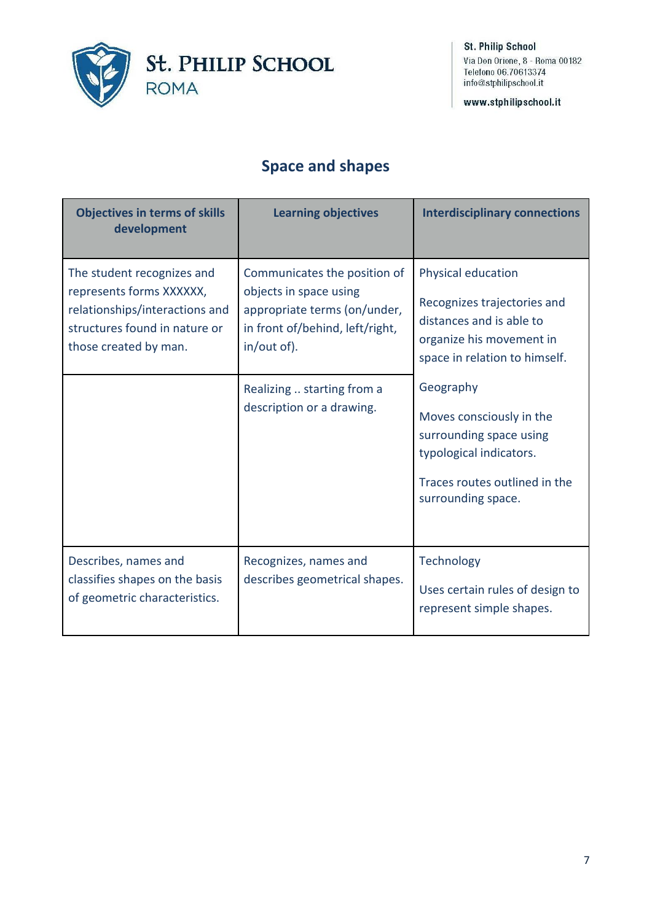

www.stphilipschool.it

## **Space and shapes**

| <b>Objectives in terms of skills</b><br>development                                                                                                | <b>Learning objectives</b>                                                                                                               | <b>Interdisciplinary connections</b>                                                                                                               |
|----------------------------------------------------------------------------------------------------------------------------------------------------|------------------------------------------------------------------------------------------------------------------------------------------|----------------------------------------------------------------------------------------------------------------------------------------------------|
| The student recognizes and<br>represents forms XXXXXX,<br>relationships/interactions and<br>structures found in nature or<br>those created by man. | Communicates the position of<br>objects in space using<br>appropriate terms (on/under,<br>in front of/behind, left/right,<br>in/out of). | Physical education<br>Recognizes trajectories and<br>distances and is able to<br>organize his movement in<br>space in relation to himself.         |
|                                                                                                                                                    | Realizing  starting from a<br>description or a drawing.                                                                                  | Geography<br>Moves consciously in the<br>surrounding space using<br>typological indicators.<br>Traces routes outlined in the<br>surrounding space. |
| Describes, names and<br>classifies shapes on the basis<br>of geometric characteristics.                                                            | Recognizes, names and<br>describes geometrical shapes.                                                                                   | Technology<br>Uses certain rules of design to<br>represent simple shapes.                                                                          |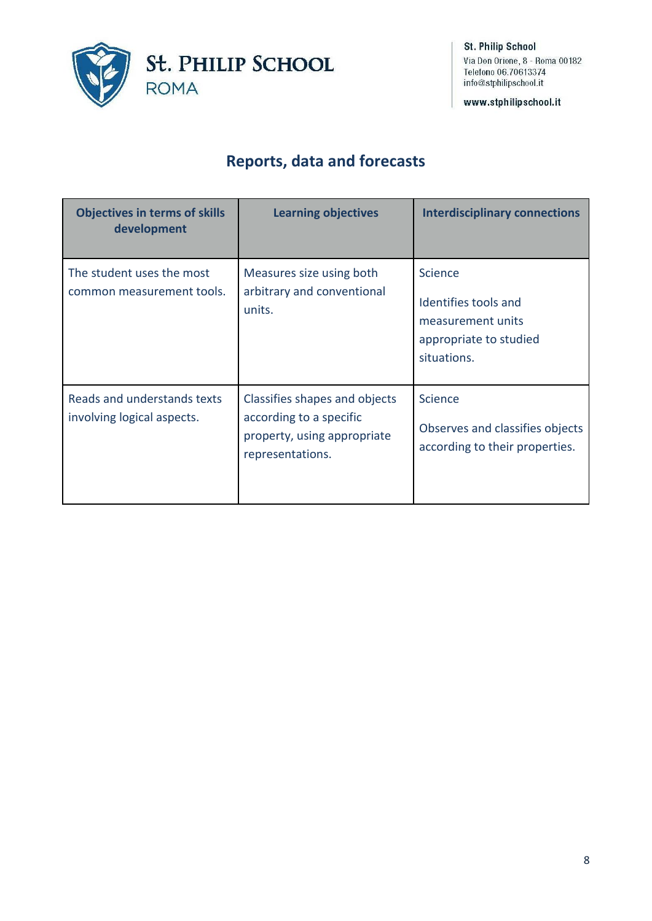

www.stphilipschool.it

### **Reports, data and forecasts**

| <b>Objectives in terms of skills</b><br>development       | <b>Learning objectives</b>                                                                                  | <b>Interdisciplinary connections</b>                                                          |
|-----------------------------------------------------------|-------------------------------------------------------------------------------------------------------------|-----------------------------------------------------------------------------------------------|
| The student uses the most<br>common measurement tools.    | Measures size using both<br>arbitrary and conventional<br>units.                                            | Science<br>Identifies tools and<br>measurement units<br>appropriate to studied<br>situations. |
| Reads and understands texts<br>involving logical aspects. | Classifies shapes and objects<br>according to a specific<br>property, using appropriate<br>representations. | Science<br>Observes and classifies objects<br>according to their properties.                  |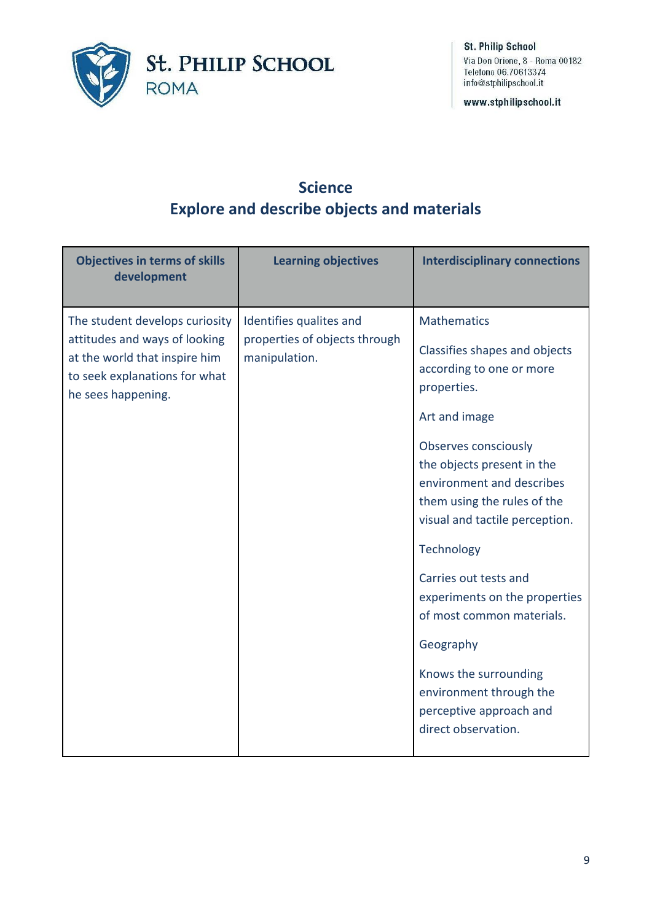

www.stphilipschool.it

#### **Science Explore and describe objects and materials**

| <b>Objectives in terms of skills</b><br>development                                                                                                     | <b>Learning objectives</b>                                                | <b>Interdisciplinary connections</b>                                                                                                                                                                                                                                                                                                                                                                                                                                                               |
|---------------------------------------------------------------------------------------------------------------------------------------------------------|---------------------------------------------------------------------------|----------------------------------------------------------------------------------------------------------------------------------------------------------------------------------------------------------------------------------------------------------------------------------------------------------------------------------------------------------------------------------------------------------------------------------------------------------------------------------------------------|
| The student develops curiosity<br>attitudes and ways of looking<br>at the world that inspire him<br>to seek explanations for what<br>he sees happening. | Identifies qualites and<br>properties of objects through<br>manipulation. | <b>Mathematics</b><br>Classifies shapes and objects<br>according to one or more<br>properties.<br>Art and image<br><b>Observes consciously</b><br>the objects present in the<br>environment and describes<br>them using the rules of the<br>visual and tactile perception.<br>Technology<br>Carries out tests and<br>experiments on the properties<br>of most common materials.<br>Geography<br>Knows the surrounding<br>environment through the<br>perceptive approach and<br>direct observation. |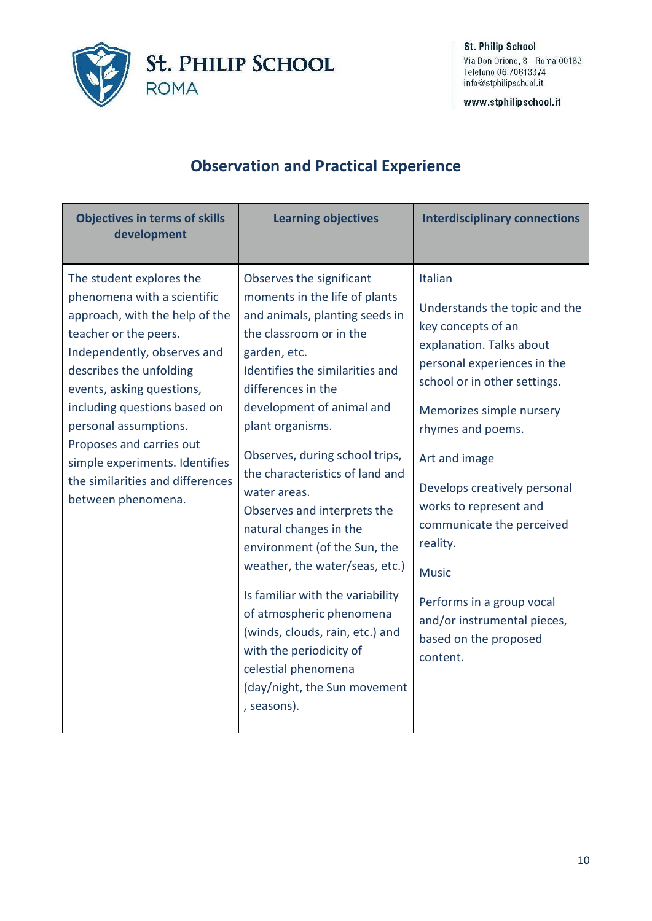

www.stphilipschool.it

## **Observation and Practical Experience**

| <b>Objectives in terms of skills</b><br>development                                                                                                                                                                                                                                                                                                                                        | <b>Learning objectives</b>                                                                                                                                                                                                                                                                                                                                                                                                                                                                                                                                                                                                                                           | <b>Interdisciplinary connections</b>                                                                                                                                                                                                                                                                                                                                                                                                            |
|--------------------------------------------------------------------------------------------------------------------------------------------------------------------------------------------------------------------------------------------------------------------------------------------------------------------------------------------------------------------------------------------|----------------------------------------------------------------------------------------------------------------------------------------------------------------------------------------------------------------------------------------------------------------------------------------------------------------------------------------------------------------------------------------------------------------------------------------------------------------------------------------------------------------------------------------------------------------------------------------------------------------------------------------------------------------------|-------------------------------------------------------------------------------------------------------------------------------------------------------------------------------------------------------------------------------------------------------------------------------------------------------------------------------------------------------------------------------------------------------------------------------------------------|
| The student explores the<br>phenomena with a scientific<br>approach, with the help of the<br>teacher or the peers.<br>Independently, observes and<br>describes the unfolding<br>events, asking questions,<br>including questions based on<br>personal assumptions.<br>Proposes and carries out<br>simple experiments. Identifies<br>the similarities and differences<br>between phenomena. | Observes the significant<br>moments in the life of plants<br>and animals, planting seeds in<br>the classroom or in the<br>garden, etc.<br>Identifies the similarities and<br>differences in the<br>development of animal and<br>plant organisms.<br>Observes, during school trips,<br>the characteristics of land and<br>water areas.<br>Observes and interprets the<br>natural changes in the<br>environment (of the Sun, the<br>weather, the water/seas, etc.)<br>Is familiar with the variability<br>of atmospheric phenomena<br>(winds, clouds, rain, etc.) and<br>with the periodicity of<br>celestial phenomena<br>(day/night, the Sun movement<br>, seasons). | Italian<br>Understands the topic and the<br>key concepts of an<br>explanation. Talks about<br>personal experiences in the<br>school or in other settings.<br>Memorizes simple nursery<br>rhymes and poems.<br>Art and image<br>Develops creatively personal<br>works to represent and<br>communicate the perceived<br>reality.<br><b>Music</b><br>Performs in a group vocal<br>and/or instrumental pieces,<br>based on the proposed<br>content. |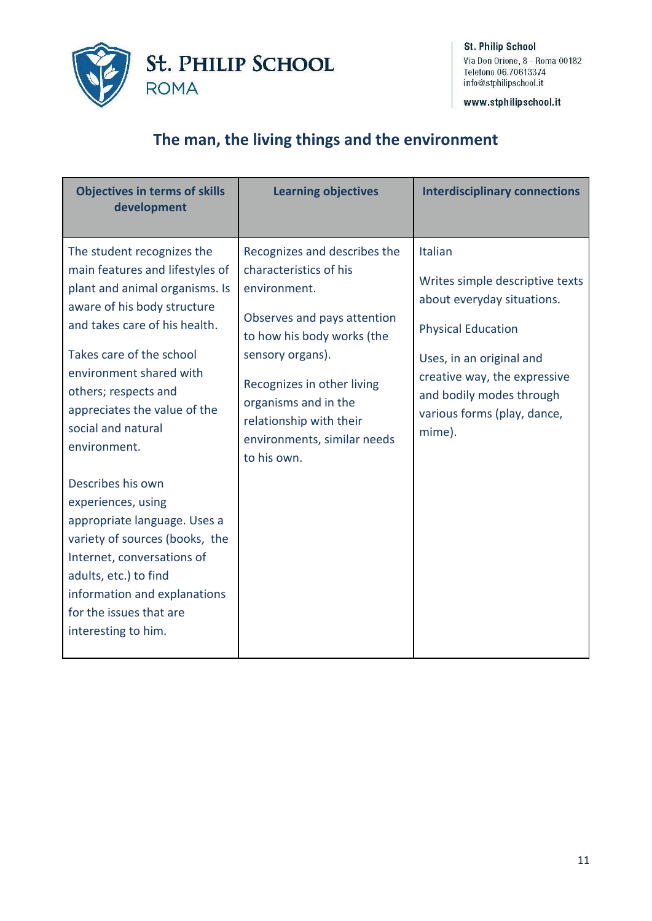

www.stphilipschool.it

#### **The man, the living things and the environment**

| <b>Objectives in terms of skills</b><br>development                                                                                                                                                                                                                                                                  | <b>Learning objectives</b>                                                                                                                                                                                                                                                             | <b>Interdisciplinary connections</b>                                                                                                                                                                                                   |
|----------------------------------------------------------------------------------------------------------------------------------------------------------------------------------------------------------------------------------------------------------------------------------------------------------------------|----------------------------------------------------------------------------------------------------------------------------------------------------------------------------------------------------------------------------------------------------------------------------------------|----------------------------------------------------------------------------------------------------------------------------------------------------------------------------------------------------------------------------------------|
| The student recognizes the<br>main features and lifestyles of<br>plant and animal organisms. Is<br>aware of his body structure<br>and takes care of his health.<br>Takes care of the school<br>environment shared with<br>others; respects and<br>appreciates the value of the<br>social and natural<br>environment. | Recognizes and describes the<br>characteristics of his<br>environment.<br>Observes and pays attention<br>to how his body works (the<br>sensory organs).<br>Recognizes in other living<br>organisms and in the<br>relationship with their<br>environments, similar needs<br>to his own. | Italian<br>Writes simple descriptive texts<br>about everyday situations.<br><b>Physical Education</b><br>Uses, in an original and<br>creative way, the expressive<br>and bodily modes through<br>various forms (play, dance,<br>mime). |
| Describes his own<br>experiences, using<br>appropriate language. Uses a<br>variety of sources (books, the<br>Internet, conversations of<br>adults, etc.) to find<br>information and explanations<br>for the issues that are<br>interesting to him.                                                                   |                                                                                                                                                                                                                                                                                        |                                                                                                                                                                                                                                        |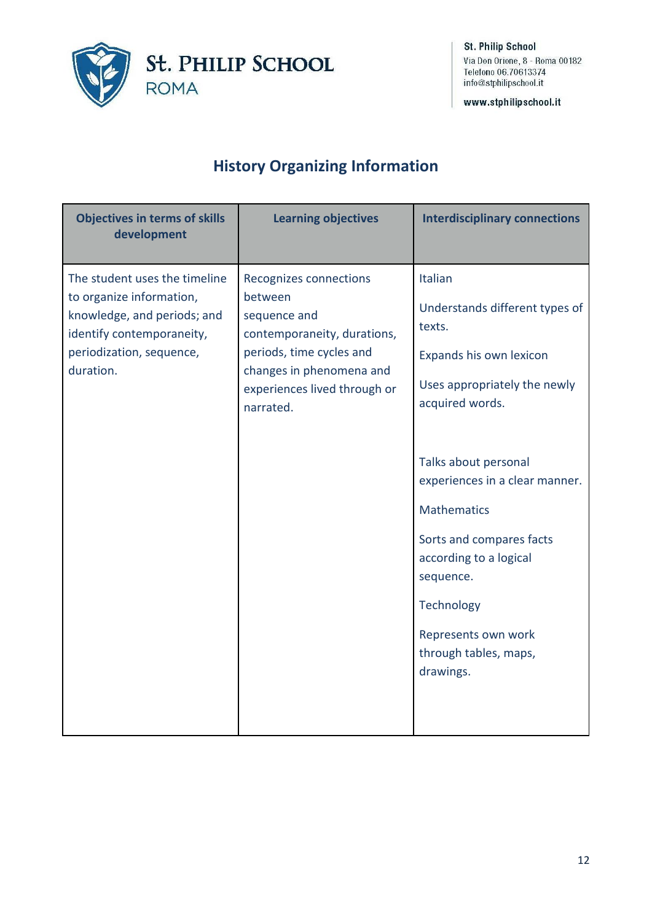

www.stphilipschool.it

# **History Organizing Information**

| <b>Objectives in terms of skills</b><br>development                                                                                                            | <b>Learning objectives</b>                                                                                                                                                            | <b>Interdisciplinary connections</b>                                                                                                                                                                                                                                                                                                                            |
|----------------------------------------------------------------------------------------------------------------------------------------------------------------|---------------------------------------------------------------------------------------------------------------------------------------------------------------------------------------|-----------------------------------------------------------------------------------------------------------------------------------------------------------------------------------------------------------------------------------------------------------------------------------------------------------------------------------------------------------------|
| The student uses the timeline<br>to organize information,<br>knowledge, and periods; and<br>identify contemporaneity,<br>periodization, sequence,<br>duration. | Recognizes connections<br>between<br>sequence and<br>contemporaneity, durations,<br>periods, time cycles and<br>changes in phenomena and<br>experiences lived through or<br>narrated. | Italian<br>Understands different types of<br>texts.<br>Expands his own lexicon<br>Uses appropriately the newly<br>acquired words.<br>Talks about personal<br>experiences in a clear manner.<br><b>Mathematics</b><br>Sorts and compares facts<br>according to a logical<br>sequence.<br>Technology<br>Represents own work<br>through tables, maps,<br>drawings. |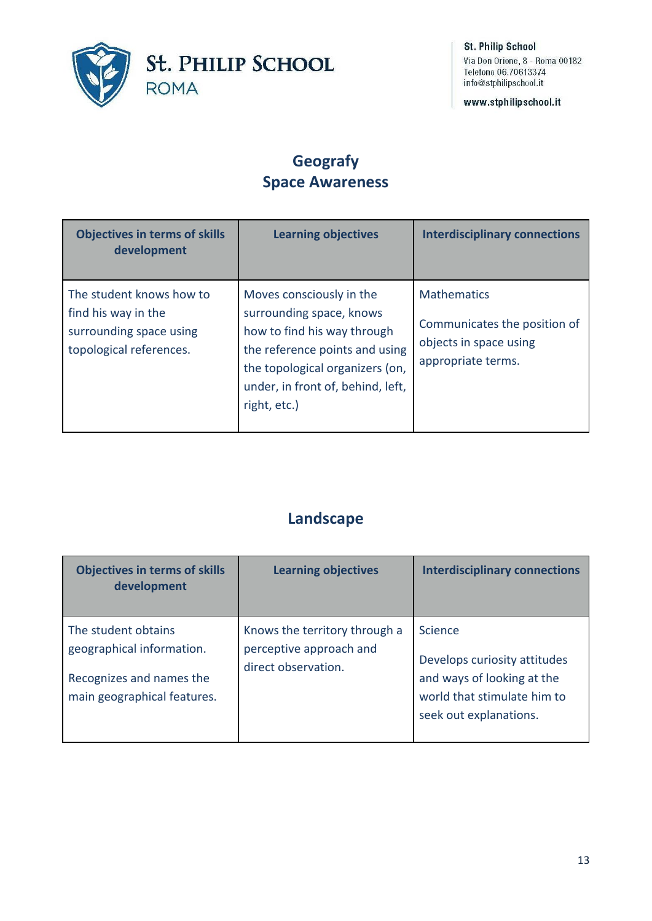

www.stphilipschool.it

#### **Geografy Space Awareness**

| <b>Objectives in terms of skills</b><br>development                                                   | <b>Learning objectives</b>                                                                                                                                                                                    | <b>Interdisciplinary connections</b>                                                               |
|-------------------------------------------------------------------------------------------------------|---------------------------------------------------------------------------------------------------------------------------------------------------------------------------------------------------------------|----------------------------------------------------------------------------------------------------|
| The student knows how to<br>find his way in the<br>surrounding space using<br>topological references. | Moves consciously in the<br>surrounding space, knows<br>how to find his way through<br>the reference points and using<br>the topological organizers (on,<br>under, in front of, behind, left,<br>right, etc.) | <b>Mathematics</b><br>Communicates the position of<br>objects in space using<br>appropriate terms. |

#### **Landscape**

| <b>Objectives in terms of skills</b><br>development                                                         | <b>Learning objectives</b>                                                      | <b>Interdisciplinary connections</b>                                                                                           |
|-------------------------------------------------------------------------------------------------------------|---------------------------------------------------------------------------------|--------------------------------------------------------------------------------------------------------------------------------|
| The student obtains<br>geographical information.<br>Recognizes and names the<br>main geographical features. | Knows the territory through a<br>perceptive approach and<br>direct observation. | Science<br>Develops curiosity attitudes<br>and ways of looking at the<br>world that stimulate him to<br>seek out explanations. |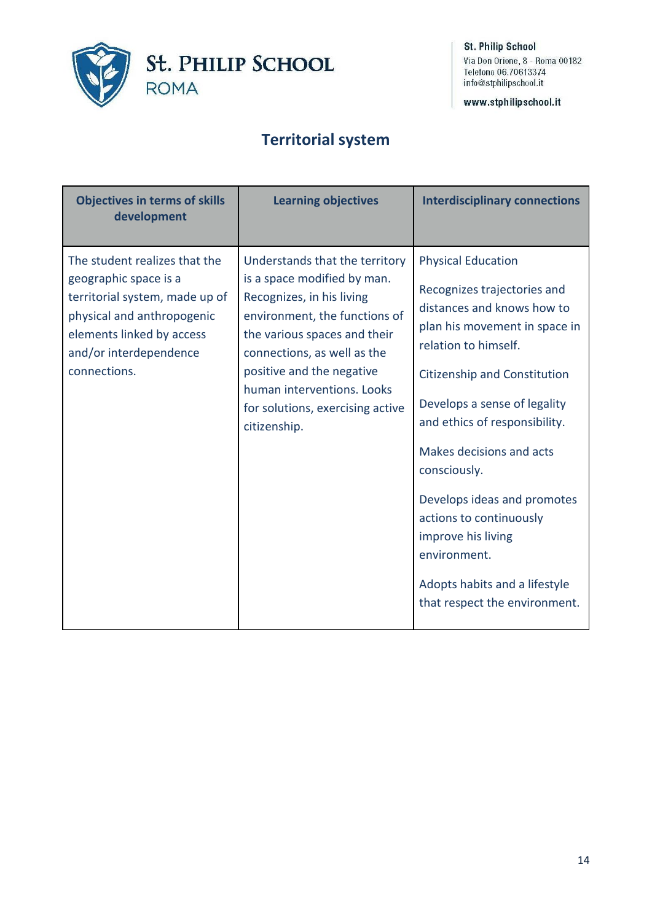

www.stphilipschool.it

#### **Territorial system**

| <b>Objectives in terms of skills</b><br>development                                                                                                                                           | <b>Learning objectives</b>                                                                                                                                                                                                                                                                                | <b>Interdisciplinary connections</b>                                                                                                                                                                                                                                                                                                                                                                                                                           |
|-----------------------------------------------------------------------------------------------------------------------------------------------------------------------------------------------|-----------------------------------------------------------------------------------------------------------------------------------------------------------------------------------------------------------------------------------------------------------------------------------------------------------|----------------------------------------------------------------------------------------------------------------------------------------------------------------------------------------------------------------------------------------------------------------------------------------------------------------------------------------------------------------------------------------------------------------------------------------------------------------|
| The student realizes that the<br>geographic space is a<br>territorial system, made up of<br>physical and anthropogenic<br>elements linked by access<br>and/or interdependence<br>connections. | Understands that the territory<br>is a space modified by man.<br>Recognizes, in his living<br>environment, the functions of<br>the various spaces and their<br>connections, as well as the<br>positive and the negative<br>human interventions. Looks<br>for solutions, exercising active<br>citizenship. | <b>Physical Education</b><br>Recognizes trajectories and<br>distances and knows how to<br>plan his movement in space in<br>relation to himself.<br>Citizenship and Constitution<br>Develops a sense of legality<br>and ethics of responsibility.<br>Makes decisions and acts<br>consciously.<br>Develops ideas and promotes<br>actions to continuously<br>improve his living<br>environment.<br>Adopts habits and a lifestyle<br>that respect the environment. |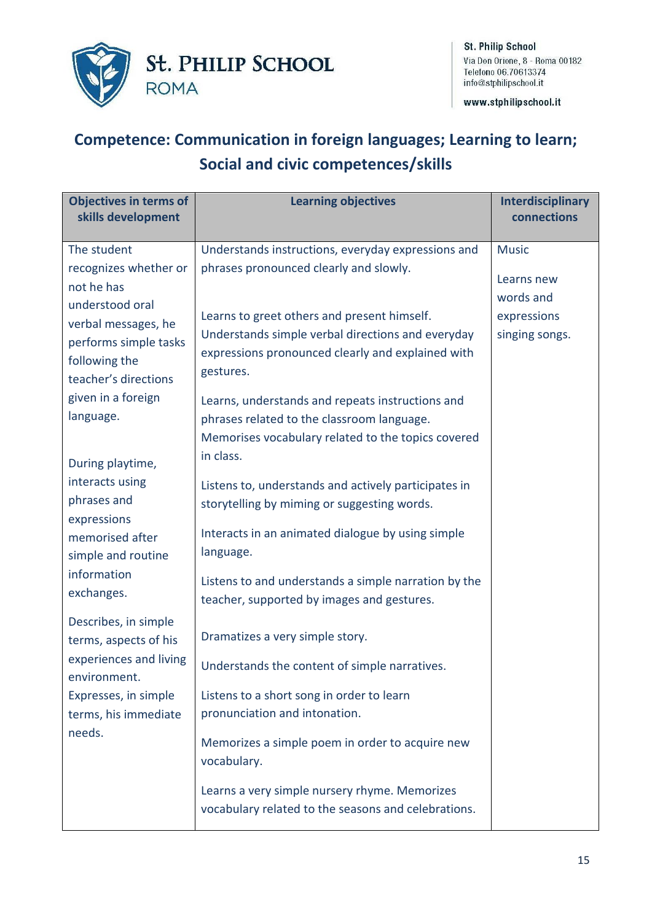

www.stphilipschool.it

# **Competence: Communication in foreign languages; Learning to learn; Social and civic competences/skills**

| <b>Objectives in terms of</b><br>skills development                                                      | <b>Learning objectives</b>                                                                                                                                         | Interdisciplinary<br>connections        |
|----------------------------------------------------------------------------------------------------------|--------------------------------------------------------------------------------------------------------------------------------------------------------------------|-----------------------------------------|
| The student<br>recognizes whether or<br>not he has                                                       | Understands instructions, everyday expressions and<br>phrases pronounced clearly and slowly.                                                                       | <b>Music</b><br>Learns new<br>words and |
| understood oral<br>verbal messages, he<br>performs simple tasks<br>following the<br>teacher's directions | Learns to greet others and present himself.<br>Understands simple verbal directions and everyday<br>expressions pronounced clearly and explained with<br>gestures. | expressions<br>singing songs.           |
| given in a foreign<br>language.<br>During playtime,                                                      | Learns, understands and repeats instructions and<br>phrases related to the classroom language.<br>Memorises vocabulary related to the topics covered<br>in class.  |                                         |
| interacts using<br>phrases and<br>expressions                                                            | Listens to, understands and actively participates in<br>storytelling by miming or suggesting words.                                                                |                                         |
| memorised after<br>simple and routine                                                                    | Interacts in an animated dialogue by using simple<br>language.                                                                                                     |                                         |
| information<br>exchanges.                                                                                | Listens to and understands a simple narration by the<br>teacher, supported by images and gestures.                                                                 |                                         |
| Describes, in simple<br>terms, aspects of his<br>experiences and living                                  | Dramatizes a very simple story.                                                                                                                                    |                                         |
| environment.<br>Expresses, in simple                                                                     | Understands the content of simple narratives.<br>Listens to a short song in order to learn                                                                         |                                         |
| terms, his immediate<br>needs.                                                                           | pronunciation and intonation.                                                                                                                                      |                                         |
|                                                                                                          | Memorizes a simple poem in order to acquire new<br>vocabulary.                                                                                                     |                                         |
|                                                                                                          | Learns a very simple nursery rhyme. Memorizes<br>vocabulary related to the seasons and celebrations.                                                               |                                         |